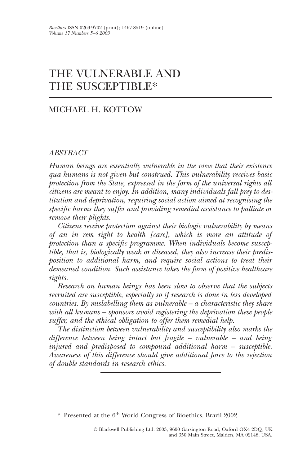# THE VULNERABLE AND THE SUSCEPTIBLE\*

## MICHAEL H. KOTTOW

#### *ABSTRACT*

*Human beings are essentially vulnerable in the view that their existence qua humans is not given but construed. This vulnerability receives basic protection from the State, expressed in the form of the universal rights all citizens are meant to enjoy. In addition, many individuals fall prey to destitution and deprivation, requiring social action aimed at recognising the specific harms they suffer and providing remedial assistance to palliate or remove their plights.*

*Citizens receive protection against their biologic vulnerability by means of an in rem right to health [care], which is more an attitude of protection than a specific programme. When individuals become susceptible, that is, biologically weak or diseased, they also increase their predisposition to additional harm, and require social actions to treat their demeaned condition. Such assistance takes the form of positive healthcare rights.*

*Research on human beings has been slow to observe that the subjects recruited are susceptible, especially so if research is done in less developed countries. By mislabelling them as vulnerable – a characteristic they share with all humans – sponsors avoid registering the deprivation these people suffer, and the ethical obligation to offer them remedial help.*

*The distinction between vulnerability and susceptibility also marks the difference between being intact but fragile – vulnerable – and being injured and predisposed to compound additional harm – susceptible. Awareness of this difference should give additional force to the rejection of double standards in research ethics.*

<sup>\*</sup> Presented at the 6th World Congress of Bioethics, Brazil 2002.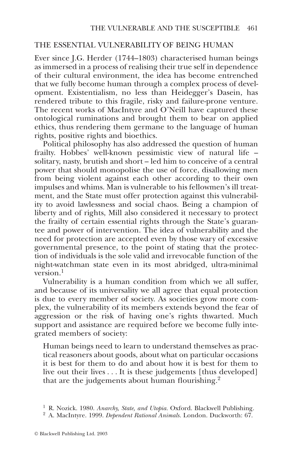## THE ESSENTIAL VULNERABILITY OF BEING HUMAN

Ever since J.G. Herder (1744–1803) characterised human beings as immersed in a process of realising their true self in dependence of their cultural environment, the idea has become entrenched that we fully become human through a complex process of development. Existentialism, no less than Heidegger's Dasein, has rendered tribute to this fragile, risky and failure-prone venture. The recent works of MacIntyre and O'Neill have captured these ontological ruminations and brought them to bear on applied ethics, thus rendering them germane to the language of human rights, positive rights and bioethics.

Political philosophy has also addressed the question of human frailty. Hobbes' well-known pessimistic view of natural life – solitary, nasty, brutish and short – led him to conceive of a central power that should monopolise the use of force, disallowing men from being violent against each other according to their own impulses and whims. Man is vulnerable to his fellowmen's ill treatment, and the State must offer protection against this vulnerability to avoid lawlessness and social chaos. Being a champion of liberty and of rights, Mill also considered it necessary to protect the frailty of certain essential rights through the State's guarantee and power of intervention. The idea of vulnerability and the need for protection are accepted even by those wary of excessive governmental presence, to the point of stating that the protection of individuals is the sole valid and irrevocable function of the night-watchman state even in its most abridged, ultra-minimal version $1$ 

Vulnerability is a human condition from which we all suffer, and because of its universality we all agree that equal protection is due to every member of society. As societies grow more complex, the vulnerability of its members extends beyond the fear of aggression or the risk of having one's rights thwarted. Much support and assistance are required before we become fully integrated members of society:

Human beings need to learn to understand themselves as practical reasoners about goods, about what on particular occasions it is best for them to do and about how it is best for them to live out their lives ... It is these judgements [thus developed] that are the judgements about human flourishing.<sup>2</sup>

<sup>1</sup> R. Nozick. 1980. *Anarchy, State, and Utopia.* Oxford. Blackwell Publishing.

<sup>2</sup> A. MacIntyre. 1999. *Dependent Rational Animals.* London. Duckworth: 67.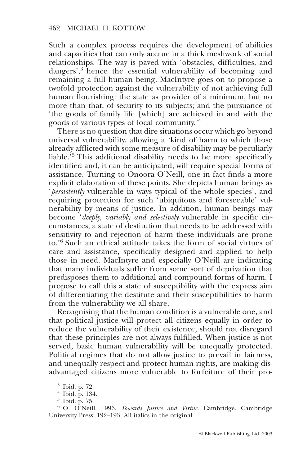Such a complex process requires the development of abilities and capacities that can only accrue in a thick meshwork of social relationships. The way is paved with 'obstacles, difficulties, and dangers',<sup>3</sup> hence the essential vulnerability of becoming and remaining a full human being. MacIntyre goes on to propose a twofold protection against the vulnerability of not achieving full human flourishing: the state as provider of a minimum, but no more than that, of security to its subjects; and the pursuance of 'the goods of family life [which] are achieved in and with the goods of various types of local community.'<sup>4</sup>

There is no question that dire situations occur which go beyond universal vulnerability, allowing a 'kind of harm to which those already afflicted with some measure of disability may be peculiarly liable.'5 This additional disability needs to be more specifically identified and, it can be anticipated, will require special forms of assistance. Turning to Onoora O'Neill, one in fact finds a more explicit elaboration of these points. She depicts human beings as '*persistently* vulnerable in ways typical of the whole species', and requiring protection for such 'ubiquitous and foreseeable' vulnerability by means of justice. In addition, human beings may become '*deeply, variably and selectively* vulnerable in specific circumstances, a state of destitution that needs to be addressed with sensitivity to and rejection of harm these individuals are prone to.'6 Such an ethical attitude takes the form of social virtues of care and assistance, specifically designed and applied to help those in need. MacIntyre and especially O'Neill are indicating that many individuals suffer from some sort of deprivation that predisposes them to additional and compound forms of harm. I propose to call this a state of susceptibility with the express aim of differentiating the destitute and their susceptibilities to harm from the vulnerability we all share.

Recognising that the human condition is a vulnerable one, and that political justice will protect all citizens equally in order to reduce the vulnerability of their existence, should not disregard that these principles are not always fulfilled. When justice is not served, basic human vulnerability will be unequally protected. Political regimes that do not allow justice to prevail in fairness, and unequally respect and protect human rights, are making disadvantaged citizens more vulnerable to forfeiture of their pro-

 $\frac{3}{4}$  Ibid. p. 72.<br> $\frac{4}{5}$  Ibid. p. 75.<br> $\frac{5}{6}$  O. O'Neill. 1996. *Towards Justice and Virtue.* Cambridge. Cambridge University Press: 192–193. All italics in the original.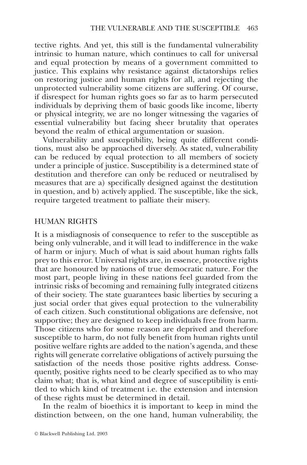tective rights. And yet, this still is the fundamental vulnerability intrinsic to human nature, which continues to call for universal and equal protection by means of a government committed to justice. This explains why resistance against dictatorships relies on restoring justice and human rights for all, and rejecting the unprotected vulnerability some citizens are suffering. Of course, if disrespect for human rights goes so far as to harm persecuted individuals by depriving them of basic goods like income, liberty or physical integrity, we are no longer witnessing the vagaries of essential vulnerability but facing sheer brutality that operates beyond the realm of ethical argumentation or suasion.

Vulnerability and susceptibility, being quite different conditions, must also be approached diversely. As stated, vulnerability can be reduced by equal protection to all members of society under a principle of justice. Susceptibility is a determined state of destitution and therefore can only be reduced or neutralised by measures that are a) specifically designed against the destitution in question, and b) actively applied. The susceptible, like the sick, require targeted treatment to palliate their misery.

#### HUMAN RIGHTS

It is a misdiagnosis of consequence to refer to the susceptible as being only vulnerable, and it will lead to indifference in the wake of harm or injury. Much of what is said about human rights falls prey to this error. Universal rights are, in essence, protective rights that are honoured by nations of true democratic nature. For the most part, people living in these nations feel guarded from the intrinsic risks of becoming and remaining fully integrated citizens of their society. The state guarantees basic liberties by securing a just social order that gives equal protection to the vulnerability of each citizen. Such constitutional obligations are defensive, not supportive; they are designed to keep individuals free from harm. Those citizens who for some reason are deprived and therefore susceptible to harm, do not fully benefit from human rights until positive welfare rights are added to the nation's agenda, and these rights will generate correlative obligations of actively pursuing the satisfaction of the needs those positive rights address. Consequently, positive rights need to be clearly specified as to who may claim what; that is, what kind and degree of susceptibility is entitled to which kind of treatment i.e. the extension and intension of these rights must be determined in detail.

In the realm of bioethics it is important to keep in mind the distinction between, on the one hand, human vulnerability, the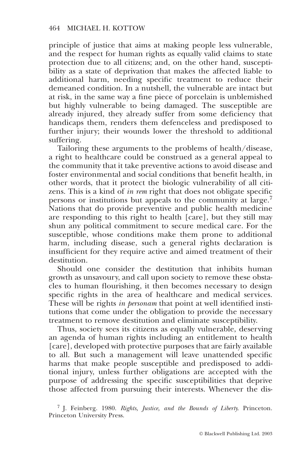principle of justice that aims at making people less vulnerable, and the respect for human rights as equally valid claims to state protection due to all citizens; and, on the other hand, susceptibility as a state of deprivation that makes the affected liable to additional harm, needing specific treatment to reduce their demeaned condition. In a nutshell, the vulnerable are intact but at risk, in the same way a fine piece of porcelain is unblemished but highly vulnerable to being damaged. The susceptible are already injured, they already suffer from some deficiency that handicaps them, renders them defenceless and predisposed to further injury; their wounds lower the threshold to additional suffering.

Tailoring these arguments to the problems of health/disease, a right to healthcare could be construed as a general appeal to the community that it take preventive actions to avoid disease and foster environmental and social conditions that benefit health, in other words, that it protect the biologic vulnerability of all citizens. This is a kind of *in rem* right that does not obligate specific persons or institutions but appeals to the community at large.<sup>7</sup> Nations that do provide preventive and public health medicine are responding to this right to health [care], but they still may shun any political commitment to secure medical care. For the susceptible, whose conditions make them prone to additional harm, including disease, such a general rights declaration is insufficient for they require active and aimed treatment of their destitution.

Should one consider the destitution that inhibits human growth as unsavoury, and call upon society to remove these obstacles to human flourishing, it then becomes necessary to design specific rights in the area of healthcare and medical services. These will be rights *in personam* that point at well identified institutions that come under the obligation to provide the necessary treatment to remove destitution and eliminate susceptibility.

Thus, society sees its citizens as equally vulnerable, deserving an agenda of human rights including an entitlement to health [care], developed with protective purposes that are fairly available to all. But such a management will leave unattended specific harms that make people susceptible and predisposed to additional injury, unless further obligations are accepted with the purpose of addressing the specific susceptibilities that deprive those affected from pursuing their interests. Whenever the dis-

<sup>7</sup> J. Feinberg. 1980. *Rights, Justice, and the Bounds of Liberty.* Princeton. Princeton University Press.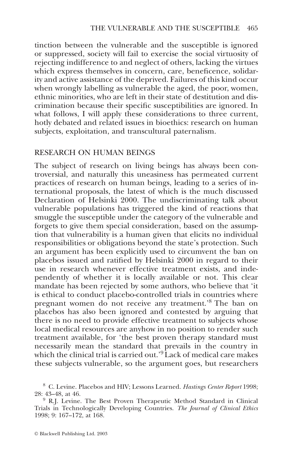tinction between the vulnerable and the susceptible is ignored or suppressed, society will fail to exercise the social virtuosity of rejecting indifference to and neglect of others, lacking the virtues which express themselves in concern, care, beneficence, solidarity and active assistance of the deprived. Failures of this kind occur when wrongly labelling as vulnerable the aged, the poor, women, ethnic minorities, who are left in their state of destitution and discrimination because their specific susceptibilities are ignored. In what follows, I will apply these considerations to three current, hotly debated and related issues in bioethics: research on human subjects, exploitation, and transcultural paternalism.

### RESEARCH ON HUMAN BEINGS

The subject of research on living beings has always been controversial, and naturally this uneasiness has permeated current practices of research on human beings, leading to a series of international proposals, the latest of which is the much discussed Declaration of Helsinki 2000. The undiscriminating talk about vulnerable populations has triggered the kind of reactions that smuggle the susceptible under the category of the vulnerable and forgets to give them special consideration, based on the assumption that vulnerability is a human given that elicits no individual responsibilities or obligations beyond the state's protection. Such an argument has been explicitly used to circumvent the ban on placebos issued and ratified by Helsinki 2000 in regard to their use in research whenever effective treatment exists, and independently of whether it is locally available or not. This clear mandate has been rejected by some authors, who believe that 'it is ethical to conduct placebo-controlled trials in countries where pregnant women do not receive any treatment.'8 The ban on placebos has also been ignored and contested by arguing that there is no need to provide effective treatment to subjects whose local medical resources are anyhow in no position to render such treatment available, for 'the best proven therapy standard must necessarily mean the standard that prevails in the country in which the clinical trial is carried out.<sup>9</sup> Lack of medical care makes these subjects vulnerable, so the argument goes, but researchers

<sup>8</sup> C. Levine. Placebos and HIV; Lessons Learned. *Hastings Center Report* 1998;

<sup>&</sup>lt;sup>9</sup> R.J. Levine. The Best Proven Therapeutic Method Standard in Clinical Trials in Technologically Developing Countries. *The Journal of Clinical Ethics* 1998; 9: 167–172, at 168.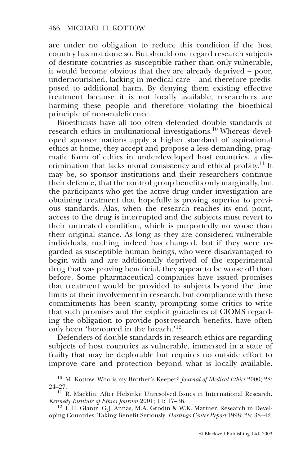are under no obligation to reduce this condition if the host country has not done so. But should one regard research subjects of destitute countries as susceptible rather than only vulnerable, it would become obvious that they are already deprived – poor, undernourished, lacking in medical care – and therefore predisposed to additional harm. By denying them existing effective treatment because it is not locally available, researchers are harming these people and therefore violating the bioethical principle of non-maleficence.

Bioethicists have all too often defended double standards of research ethics in multinational investigations.10 Whereas developed sponsor nations apply a higher standard of aspirational ethics at home, they accept and propose a less demanding, pragmatic form of ethics in underdeveloped host countries, a discrimination that lacks moral consistency and ethical probity.11 It may be, so sponsor institutions and their researchers continue their defence, that the control group benefits only marginally, but the participants who get the active drug under investigation are obtaining treatment that hopefully is proving superior to previous standards. Alas, when the research reaches its end point, access to the drug is interrupted and the subjects must revert to their untreated condition, which is purportedly no worse than their original stance. As long as they are considered vulnerable individuals, nothing indeed has changed, but if they were regarded as susceptible human beings, who were disadvantaged to begin with and are additionally deprived of the experimental drug that was proving beneficial, they appear to be worse off than before. Some pharmaceutical companies have issued promises that treatment would be provided to subjects beyond the time limits of their involvement in research, but compliance with these commitments has been scanty, prompting some critics to write that such promises and the explicit guidelines of CIOMS regarding the obligation to provide post-research benefits, have often only been 'honoured in the breach.'12

Defenders of double standards in research ethics are regarding subjects of host countries as vulnerable, immersed in a state of frailty that may be deplorable but requires no outside effort to improve care and protection beyond what is locally available.

<sup>10</sup> M. Kottow. Who is my Brother's Keeper? *Journal of Medical Ethics* 2000; 28:

 $11$  R. Macklin. After Helsinki: Unresolved Issues in International Research. *Kennedy Institute of Ethics Journal* 2001; 11: 17–36.

<sup>12</sup> L.H. Glantz, G.J. Annas, M.A. Grodin & W.K. Mariner. Research in Developing Countries: Taking Benefit Seriously. *Hastings Center Report* 1998; 28: 38–42.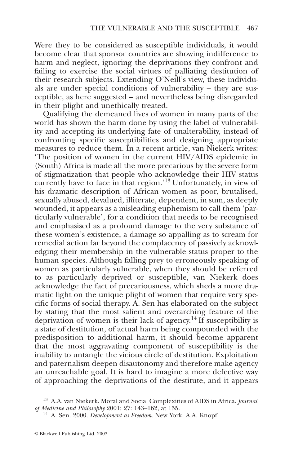Were they to be considered as susceptible individuals, it would become clear that sponsor countries are showing indifference to harm and neglect, ignoring the deprivations they confront and failing to exercise the social virtues of palliating destitution of their research subjects. Extending O'Neill's view, these individuals are under special conditions of vulnerability – they are susceptible, as here suggested – and nevertheless being disregarded in their plight and unethically treated.

Qualifying the demeaned lives of women in many parts of the world has shown the harm done by using the label of vulnerability and accepting its underlying fate of unalterability, instead of confronting specific susceptibilities and designing appropriate measures to reduce them. In a recent article, van Niekerk writes: 'The position of women in the current HIV/AIDS epidemic in (South) Africa is made all the more precarious by the severe form of stigmatization that people who acknowledge their HIV status currently have to face in that region.'13 Unfortunately, in view of his dramatic description of African women as poor, brutalised, sexually abused, devalued, illiterate, dependent, in sum, as deeply wounded, it appears as a misleading euphemism to call them 'particularly vulnerable', for a condition that needs to be recognised and emphasised as a profound damage to the very substance of these women's existence, a damage so appalling as to scream for remedial action far beyond the complacency of passively acknowledging their membership in the vulnerable status proper to the human species. Although falling prey to erroneously speaking of women as particularly vulnerable, when they should be referred to as particularly deprived or susceptible, van Niekerk does acknowledge the fact of precariousness, which sheds a more dramatic light on the unique plight of women that require very specific forms of social therapy. A. Sen has elaborated on the subject by stating that the most salient and overarching feature of the deprivation of women is their lack of agency.<sup>14</sup> If susceptibility is a state of destitution, of actual harm being compounded with the predisposition to additional harm, it should become apparent that the most aggravating component of susceptibility is the inability to untangle the vicious circle of destitution. Exploitation and paternalism deepen disautonomy and therefore make agency an unreachable goal. It is hard to imagine a more defective way of approaching the deprivations of the destitute, and it appears

<sup>&</sup>lt;sup>13</sup> A.A. van Niekerk. Moral and Social Complexities of AIDS in Africa. *Journal* of Medicine and Philosophy 2001; 27: 143–162, at 155.

<sup>&</sup>lt;sup>14</sup> A. Sen. 2000. *Development as Freedom*. New York. A.A. Knopf.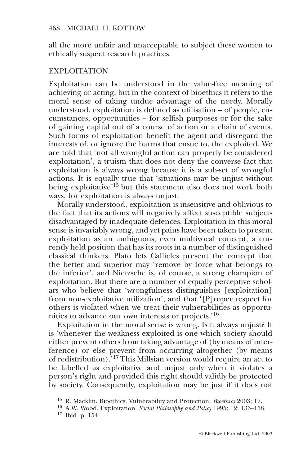all the more unfair and unacceptable to subject these women to ethically suspect research practices.

## EXPLOITATION

Exploitation can be understood in the value-free meaning of achieving or acting, but in the context of bioethics it refers to the moral sense of taking undue advantage of the needy. Morally understood, exploitation is defined as utilisation – of people, circumstances, opportunities – for selfish purposes or for the sake of gaining capital out of a course of action or a chain of events. Such forms of exploitation benefit the agent and disregard the interests of, or ignore the harms that ensue to, the exploited. We are told that 'not all wrongful action can properly be considered exploitation', a truism that does not deny the converse fact that exploitation is always wrong because it is a sub-set of wrongful actions. It is equally true that 'situations may be unjust without being exploitative<sup>'15</sup> but this statement also does not work both ways, for exploitation is always unjust.

Morally understood, exploitation is insensitive and oblivious to the fact that its actions will negatively affect susceptible subjects disadvantaged by inadequate defences. Exploitation in this moral sense is invariably wrong, and yet pains have been taken to present exploitation as an ambiguous, even multivocal concept, a currently held position that has its roots in a number of distinguished classical thinkers. Plato lets Callicles present the concept that the better and superior may 'remove by force what belongs to the inferior', and Nietzsche is, of course, a strong champion of exploitation. But there are a number of equally perceptive scholars who believe that 'wrongfulness distinguishes [exploitation] from non-exploitative utilization', and that '[P]roper respect for others is violated when we treat their vulnerabilities as opportunities to advance our own interests or projects.'<sup>16</sup>

Exploitation in the moral sense is wrong. Is it always unjust? It is 'whenever the weakness exploited is one which society should either prevent others from taking advantage of (by means of interference) or else prevent from occurring altogether (by means of redistribution).'17 This Millsian version would require an act to be labelled as exploitative and unjust only when it violates a person's right and provided this right should validly be protected by society. Consequently, exploitation may be just if it does not

<sup>15</sup> R. Macklin. Bioethics, Vulnerability and Protection. *Bioethics* 2003; 17. <sup>16</sup> A.W. Wood. Exploitation. *Social Philosophy and Policy* 1995; 12: 136–158.

<sup>17</sup> Ibid. p. 154.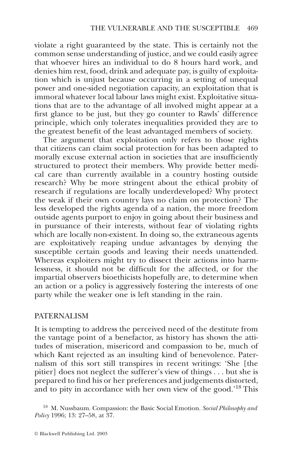violate a right guaranteed by the state. This is certainly not the common sense understanding of justice, and we could easily agree that whoever hires an individual to do 8 hours hard work, and denies him rest, food, drink and adequate pay, is guilty of exploitation which is unjust because occurring in a setting of unequal power and one-sided negotiation capacity, an exploitation that is immoral whatever local labour laws might exist. Exploitative situations that are to the advantage of all involved might appear at a first glance to be just, but they go counter to Rawls' difference principle, which only tolerates inequalities provided they are to the greatest benefit of the least advantaged members of society.

The argument that exploitation only refers to those rights that citizens can claim social protection for has been adapted to morally excuse external action in societies that are insufficiently structured to protect their members. Why provide better medical care than currently available in a country hosting outside research? Why be more stringent about the ethical probity of research if regulations are locally underdeveloped? Why protect the weak if their own country lays no claim on protection? The less developed the rights agenda of a nation, the more freedom outside agents purport to enjoy in going about their business and in pursuance of their interests, without fear of violating rights which are locally non-existent. In doing so, the extraneous agents are exploitatively reaping undue advantages by denying the susceptible certain goods and leaving their needs unattended. Whereas exploiters might try to dissect their actions into harmlessness, it should not be difficult for the affected, or for the impartial observers bioethicists hopefully are, to determine when an action or a policy is aggressively fostering the interests of one party while the weaker one is left standing in the rain.

## PATERNALISM

It is tempting to address the perceived need of the destitute from the vantage point of a benefactor, as history has shown the attitudes of miseration, misericord and compassion to be, much of which Kant rejected as an insulting kind of benevolence. Paternalism of this sort still transpires in recent writings: 'She [the pitier] does not neglect the sufferer's view of things . . . but she is prepared to find his or her preferences and judgements distorted, and to pity in accordance with her own view of the good.'18 This

<sup>18</sup> M. Nussbaum. Compassion: the Basic Social Emotion. *Social Philosophy and Policy* 1996; 13: 27–58, at 37.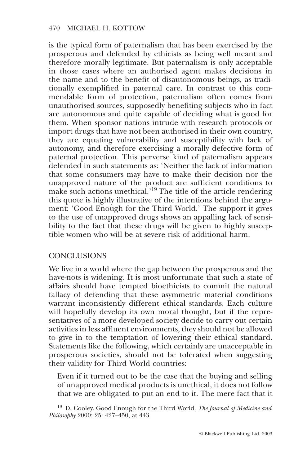is the typical form of paternalism that has been exercised by the prosperous and defended by ethicists as being well meant and therefore morally legitimate. But paternalism is only acceptable in those cases where an authorised agent makes decisions in the name and to the benefit of disautonomous beings, as traditionally exemplified in paternal care. In contrast to this commendable form of protection, paternalism often comes from unauthorised sources, supposedly benefiting subjects who in fact are autonomous and quite capable of deciding what is good for them. When sponsor nations intrude with research protocols or import drugs that have not been authorised in their own country, they are equating vulnerability and susceptibility with lack of autonomy, and therefore exercising a morally defective form of paternal protection. This perverse kind of paternalism appears defended in such statements as: 'Neither the lack of information that some consumers may have to make their decision nor the unapproved nature of the product are sufficient conditions to make such actions unethical.'19 The title of the article rendering this quote is highly illustrative of the intentions behind the argument: 'Good Enough for the Third World.' The support it gives to the use of unapproved drugs shows an appalling lack of sensibility to the fact that these drugs will be given to highly susceptible women who will be at severe risk of additional harm.

## **CONCLUSIONS**

We live in a world where the gap between the prosperous and the have-nots is widening. It is most unfortunate that such a state of affairs should have tempted bioethicists to commit the natural fallacy of defending that these asymmetric material conditions warrant inconsistently different ethical standards. Each culture will hopefully develop its own moral thought, but if the representatives of a more developed society decide to carry out certain activities in less affluent environments, they should not be allowed to give in to the temptation of lowering their ethical standard. Statements like the following, which certainly are unacceptable in prosperous societies, should not be tolerated when suggesting their validity for Third World countries:

Even if it turned out to be the case that the buying and selling of unapproved medical products is unethical, it does not follow that we are obligated to put an end to it. The mere fact that it

<sup>19</sup> D. Cooley. Good Enough for the Third World. *The Journal of Medicine and Philosophy* 2000; 25: 427–450, at 443.